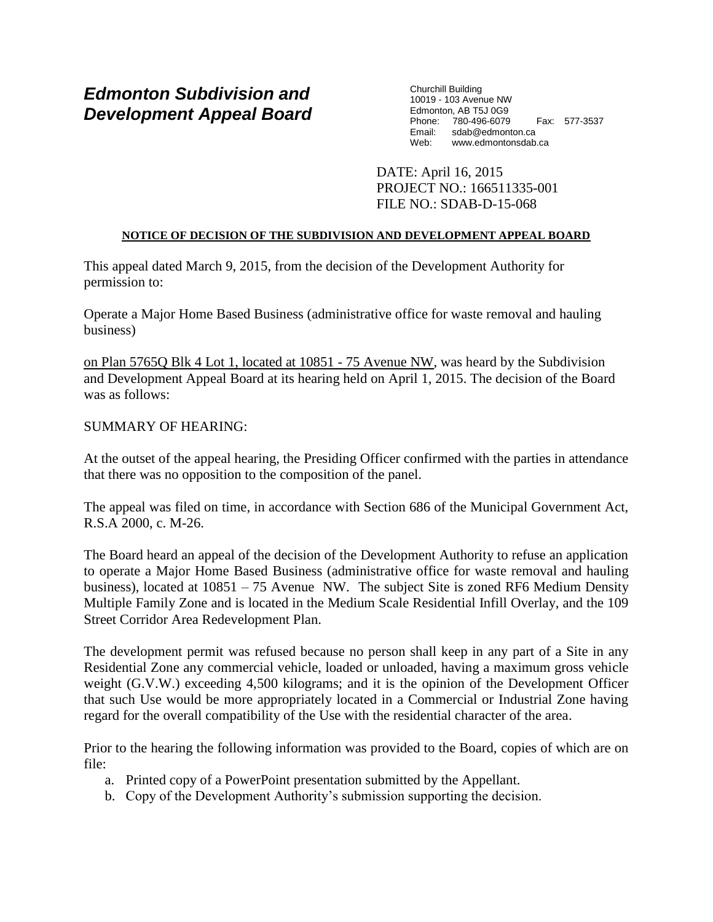# *Edmonton Subdivision and Development Appeal Board*

Churchill Building 10019 - 103 Avenue NW Edmonton, AB T5J 0G9 Phone: 780-496-6079 Fax: 577-3537 Email: sdab@edmonton.ca Web: www.edmontonsdab.ca

DATE: April 16, 2015 PROJECT NO.: 166511335-001 FILE NO.: SDAB-D-15-068

# **NOTICE OF DECISION OF THE SUBDIVISION AND DEVELOPMENT APPEAL BOARD**

This appeal dated March 9, 2015, from the decision of the Development Authority for permission to:

Operate a Major Home Based Business (administrative office for waste removal and hauling business)

on Plan 5765Q Blk 4 Lot 1, located at 10851 - 75 Avenue NW, was heard by the Subdivision and Development Appeal Board at its hearing held on April 1, 2015. The decision of the Board was as follows:

## SUMMARY OF HEARING:

At the outset of the appeal hearing, the Presiding Officer confirmed with the parties in attendance that there was no opposition to the composition of the panel.

The appeal was filed on time, in accordance with Section 686 of the Municipal Government Act, R.S.A 2000, c. M-26.

The Board heard an appeal of the decision of the Development Authority to refuse an application to operate a Major Home Based Business (administrative office for waste removal and hauling business), located at  $10851 - 75$  Avenue NW. The subject Site is zoned RF6 Medium Density Multiple Family Zone and is located in the Medium Scale Residential Infill Overlay, and the 109 Street Corridor Area Redevelopment Plan.

The development permit was refused because no person shall keep in any part of a Site in any Residential Zone any commercial vehicle, loaded or unloaded, having a maximum gross vehicle weight (G.V.W.) exceeding 4,500 kilograms; and it is the opinion of the Development Officer that such Use would be more appropriately located in a Commercial or Industrial Zone having regard for the overall compatibility of the Use with the residential character of the area.

Prior to the hearing the following information was provided to the Board, copies of which are on file:

- a. Printed copy of a PowerPoint presentation submitted by the Appellant.
- b. Copy of the Development Authority's submission supporting the decision.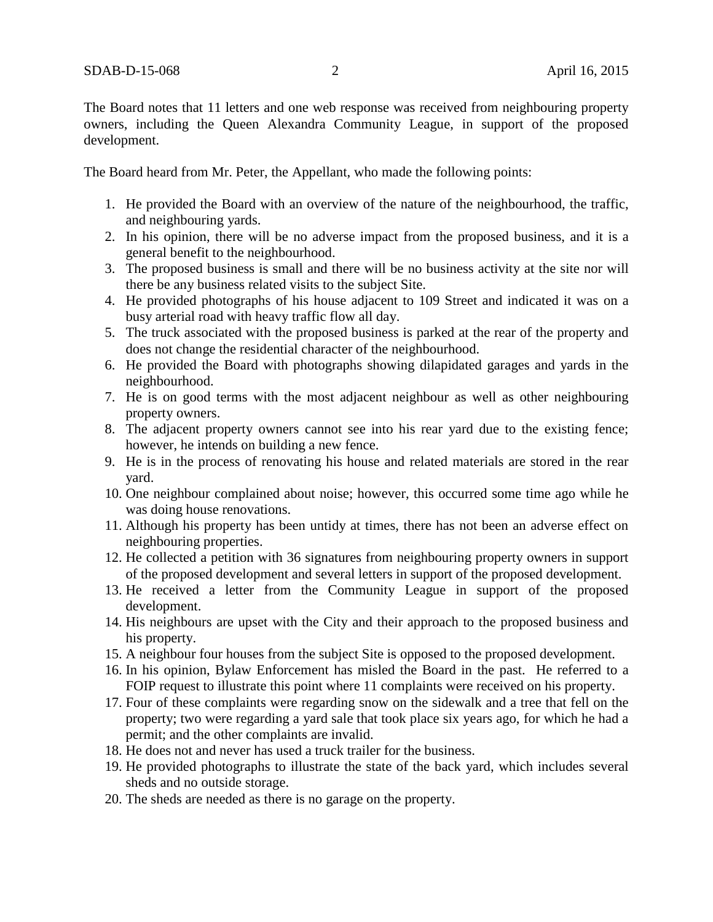The Board notes that 11 letters and one web response was received from neighbouring property owners, including the Queen Alexandra Community League, in support of the proposed development.

The Board heard from Mr. Peter, the Appellant, who made the following points:

- 1. He provided the Board with an overview of the nature of the neighbourhood, the traffic, and neighbouring yards.
- 2. In his opinion, there will be no adverse impact from the proposed business, and it is a general benefit to the neighbourhood.
- 3. The proposed business is small and there will be no business activity at the site nor will there be any business related visits to the subject Site.
- 4. He provided photographs of his house adjacent to 109 Street and indicated it was on a busy arterial road with heavy traffic flow all day.
- 5. The truck associated with the proposed business is parked at the rear of the property and does not change the residential character of the neighbourhood.
- 6. He provided the Board with photographs showing dilapidated garages and yards in the neighbourhood.
- 7. He is on good terms with the most adjacent neighbour as well as other neighbouring property owners.
- 8. The adjacent property owners cannot see into his rear yard due to the existing fence; however, he intends on building a new fence.
- 9. He is in the process of renovating his house and related materials are stored in the rear yard.
- 10. One neighbour complained about noise; however, this occurred some time ago while he was doing house renovations.
- 11. Although his property has been untidy at times, there has not been an adverse effect on neighbouring properties.
- 12. He collected a petition with 36 signatures from neighbouring property owners in support of the proposed development and several letters in support of the proposed development.
- 13. He received a letter from the Community League in support of the proposed development.
- 14. His neighbours are upset with the City and their approach to the proposed business and his property.
- 15. A neighbour four houses from the subject Site is opposed to the proposed development.
- 16. In his opinion, Bylaw Enforcement has misled the Board in the past. He referred to a FOIP request to illustrate this point where 11 complaints were received on his property.
- 17. Four of these complaints were regarding snow on the sidewalk and a tree that fell on the property; two were regarding a yard sale that took place six years ago, for which he had a permit; and the other complaints are invalid.
- 18. He does not and never has used a truck trailer for the business.
- 19. He provided photographs to illustrate the state of the back yard, which includes several sheds and no outside storage.
- 20. The sheds are needed as there is no garage on the property.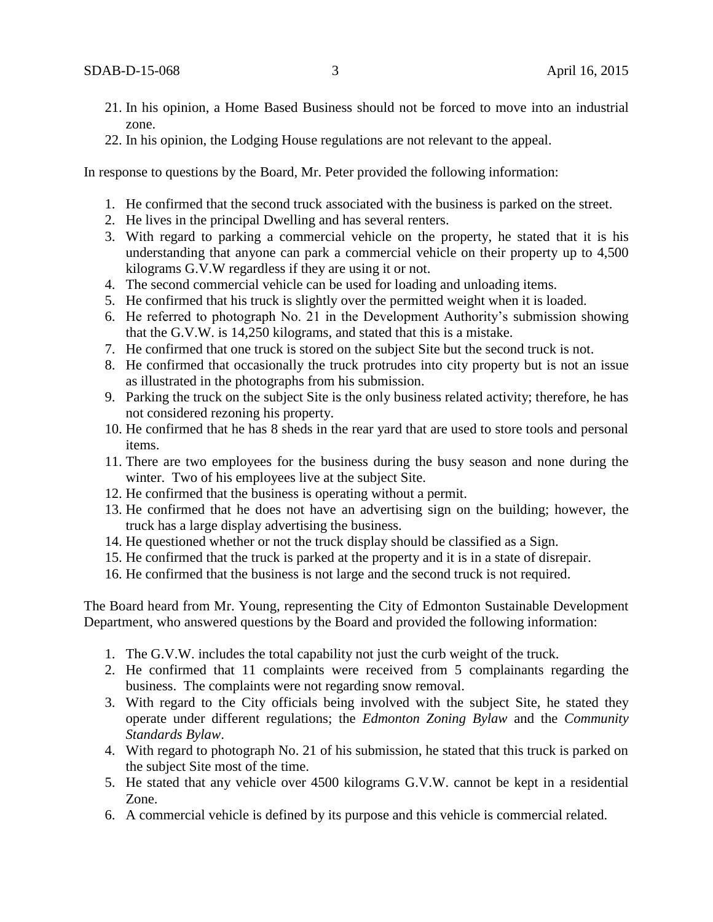- 21. In his opinion, a Home Based Business should not be forced to move into an industrial zone.
- 22. In his opinion, the Lodging House regulations are not relevant to the appeal.

In response to questions by the Board, Mr. Peter provided the following information:

- 1. He confirmed that the second truck associated with the business is parked on the street.
- 2. He lives in the principal Dwelling and has several renters.
- 3. With regard to parking a commercial vehicle on the property, he stated that it is his understanding that anyone can park a commercial vehicle on their property up to 4,500 kilograms G.V.W regardless if they are using it or not.
- 4. The second commercial vehicle can be used for loading and unloading items.
- 5. He confirmed that his truck is slightly over the permitted weight when it is loaded.
- 6. He referred to photograph No. 21 in the Development Authority's submission showing that the G.V.W. is 14,250 kilograms, and stated that this is a mistake.
- 7. He confirmed that one truck is stored on the subject Site but the second truck is not.
- 8. He confirmed that occasionally the truck protrudes into city property but is not an issue as illustrated in the photographs from his submission.
- 9. Parking the truck on the subject Site is the only business related activity; therefore, he has not considered rezoning his property.
- 10. He confirmed that he has 8 sheds in the rear yard that are used to store tools and personal items.
- 11. There are two employees for the business during the busy season and none during the winter. Two of his employees live at the subject Site.
- 12. He confirmed that the business is operating without a permit.
- 13. He confirmed that he does not have an advertising sign on the building; however, the truck has a large display advertising the business.
- 14. He questioned whether or not the truck display should be classified as a Sign.
- 15. He confirmed that the truck is parked at the property and it is in a state of disrepair.
- 16. He confirmed that the business is not large and the second truck is not required.

The Board heard from Mr. Young, representing the City of Edmonton Sustainable Development Department, who answered questions by the Board and provided the following information:

- 1. The G.V.W. includes the total capability not just the curb weight of the truck.
- 2. He confirmed that 11 complaints were received from 5 complainants regarding the business. The complaints were not regarding snow removal.
- 3. With regard to the City officials being involved with the subject Site, he stated they operate under different regulations; the *Edmonton Zoning Bylaw* and the *Community Standards Bylaw*.
- 4. With regard to photograph No. 21 of his submission, he stated that this truck is parked on the subject Site most of the time.
- 5. He stated that any vehicle over 4500 kilograms G.V.W. cannot be kept in a residential Zone.
- 6. A commercial vehicle is defined by its purpose and this vehicle is commercial related.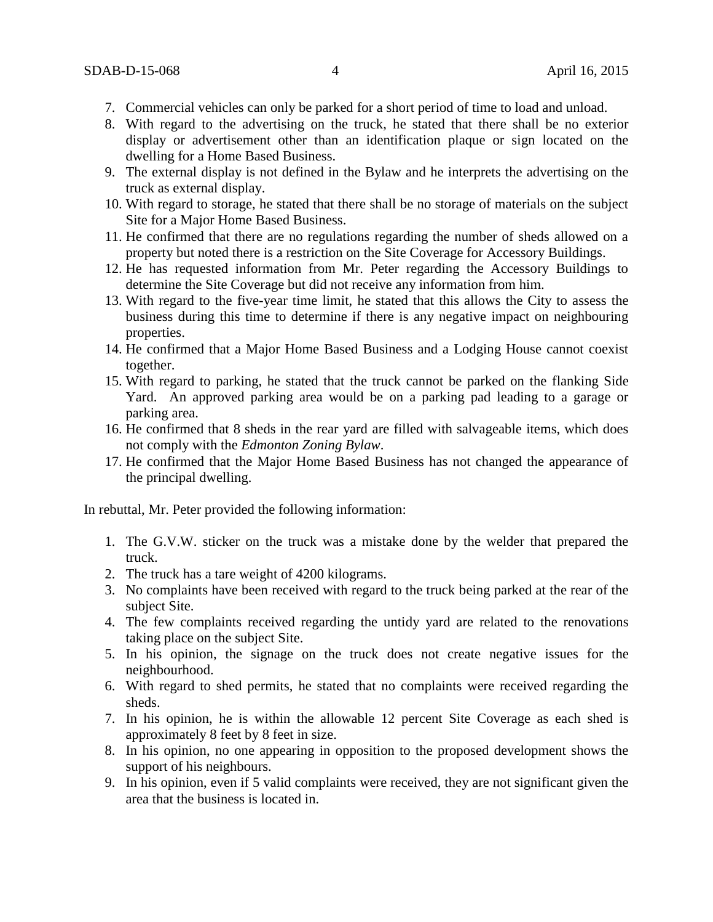- 7. Commercial vehicles can only be parked for a short period of time to load and unload.
- 8. With regard to the advertising on the truck, he stated that there shall be no exterior display or advertisement other than an identification plaque or sign located on the dwelling for a Home Based Business.
- 9. The external display is not defined in the Bylaw and he interprets the advertising on the truck as external display.
- 10. With regard to storage, he stated that there shall be no storage of materials on the subject Site for a Major Home Based Business.
- 11. He confirmed that there are no regulations regarding the number of sheds allowed on a property but noted there is a restriction on the Site Coverage for Accessory Buildings.
- 12. He has requested information from Mr. Peter regarding the Accessory Buildings to determine the Site Coverage but did not receive any information from him.
- 13. With regard to the five-year time limit, he stated that this allows the City to assess the business during this time to determine if there is any negative impact on neighbouring properties.
- 14. He confirmed that a Major Home Based Business and a Lodging House cannot coexist together.
- 15. With regard to parking, he stated that the truck cannot be parked on the flanking Side Yard. An approved parking area would be on a parking pad leading to a garage or parking area.
- 16. He confirmed that 8 sheds in the rear yard are filled with salvageable items, which does not comply with the *Edmonton Zoning Bylaw*.
- 17. He confirmed that the Major Home Based Business has not changed the appearance of the principal dwelling.

In rebuttal, Mr. Peter provided the following information:

- 1. The G.V.W. sticker on the truck was a mistake done by the welder that prepared the truck.
- 2. The truck has a tare weight of 4200 kilograms.
- 3. No complaints have been received with regard to the truck being parked at the rear of the subject Site.
- 4. The few complaints received regarding the untidy yard are related to the renovations taking place on the subject Site.
- 5. In his opinion, the signage on the truck does not create negative issues for the neighbourhood.
- 6. With regard to shed permits, he stated that no complaints were received regarding the sheds.
- 7. In his opinion, he is within the allowable 12 percent Site Coverage as each shed is approximately 8 feet by 8 feet in size.
- 8. In his opinion, no one appearing in opposition to the proposed development shows the support of his neighbours.
- 9. In his opinion, even if 5 valid complaints were received, they are not significant given the area that the business is located in.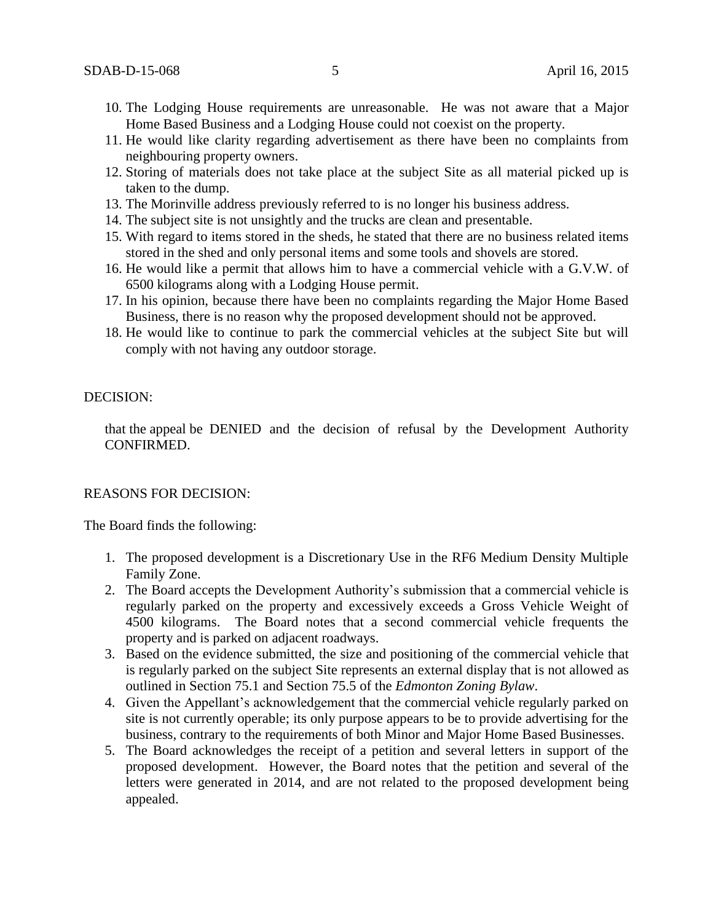- 10. The Lodging House requirements are unreasonable. He was not aware that a Major Home Based Business and a Lodging House could not coexist on the property.
- 11. He would like clarity regarding advertisement as there have been no complaints from neighbouring property owners.
- 12. Storing of materials does not take place at the subject Site as all material picked up is taken to the dump.
- 13. The Morinville address previously referred to is no longer his business address.
- 14. The subject site is not unsightly and the trucks are clean and presentable.
- 15. With regard to items stored in the sheds, he stated that there are no business related items stored in the shed and only personal items and some tools and shovels are stored.
- 16. He would like a permit that allows him to have a commercial vehicle with a G.V.W. of 6500 kilograms along with a Lodging House permit.
- 17. In his opinion, because there have been no complaints regarding the Major Home Based Business, there is no reason why the proposed development should not be approved.
- 18. He would like to continue to park the commercial vehicles at the subject Site but will comply with not having any outdoor storage.

#### DECISION:

that the appeal be DENIED and the decision of refusal by the Development Authority CONFIRMED.

# REASONS FOR DECISION:

The Board finds the following:

- 1. The proposed development is a Discretionary Use in the RF6 Medium Density Multiple Family Zone.
- 2. The Board accepts the Development Authority's submission that a commercial vehicle is regularly parked on the property and excessively exceeds a Gross Vehicle Weight of 4500 kilograms. The Board notes that a second commercial vehicle frequents the property and is parked on adjacent roadways.
- 3. Based on the evidence submitted, the size and positioning of the commercial vehicle that is regularly parked on the subject Site represents an external display that is not allowed as outlined in Section 75.1 and Section 75.5 of the *Edmonton Zoning Bylaw*.
- 4. Given the Appellant's acknowledgement that the commercial vehicle regularly parked on site is not currently operable; its only purpose appears to be to provide advertising for the business, contrary to the requirements of both Minor and Major Home Based Businesses.
- 5. The Board acknowledges the receipt of a petition and several letters in support of the proposed development. However, the Board notes that the petition and several of the letters were generated in 2014, and are not related to the proposed development being appealed.